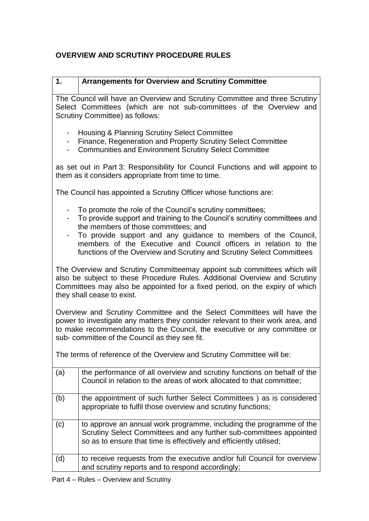## **OVERVIEW AND SCRUTINY PROCEDURE RULES**

| 1. | <b>Arrangements for Overview and Scrutiny Committee</b> |
|----|---------------------------------------------------------|

The Council will have an Overview and Scrutiny Committee and three Scrutiny Select Committees (which are not sub-committees of the Overview and Scrutiny Committee) as follows:

- Housing & Planning Scrutiny Select Committee
- Finance, Regeneration and Property Scrutiny Select Committee
- Communities and Environment Scrutiny Select Committee

as set out in Part 3: Responsibility for Council Functions and will appoint to them as it considers appropriate from time to time.

The Council has appointed a Scrutiny Officer whose functions are:

- To promote the role of the Council's scrutiny committees;
- To provide support and training to the Council's scrutiny committees and the members of those committees; and
- To provide support and any guidance to members of the Council, members of the Executive and Council officers in relation to the functions of the Overview and Scrutiny and Scrutiny Select Committees

The Overview and Scrutiny Committeemay appoint sub committees which will also be subject to these Procedure Rules. Additional Overview and Scrutiny Committees may also be appointed for a fixed period, on the expiry of which they shall cease to exist.

Overview and Scrutiny Committee and the Select Committees will have the power to investigate any matters they consider relevant to their work area, and to make recommendations to the Council, the executive or any committee or sub- committee of the Council as they see fit.

The terms of reference of the Overview and Scrutiny Committee will be:

| (a) | the performance of all overview and scrutiny functions on behalf of the<br>Council in relation to the areas of work allocated to that committee;                                                                 |
|-----|------------------------------------------------------------------------------------------------------------------------------------------------------------------------------------------------------------------|
| (b) | the appointment of such further Select Committees) as is considered<br>appropriate to fulfil those overview and scrutiny functions;                                                                              |
| (c) | to approve an annual work programme, including the programme of the<br>Scrutiny Select Committees and any further sub-committees appointed<br>so as to ensure that time is effectively and efficiently utilised; |
| (d) | to receive requests from the executive and/or full Council for overview<br>and scrutiny reports and to respond accordingly;                                                                                      |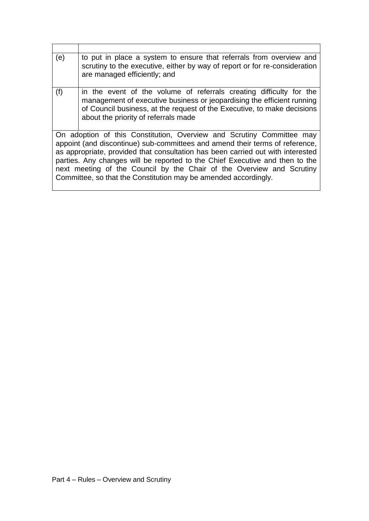| (e) | to put in place a system to ensure that referrals from overview and<br>scrutiny to the executive, either by way of report or for re-consideration<br>are managed efficiently; and                                                                                                                                                                                                                                                                                    |
|-----|----------------------------------------------------------------------------------------------------------------------------------------------------------------------------------------------------------------------------------------------------------------------------------------------------------------------------------------------------------------------------------------------------------------------------------------------------------------------|
| (f) | in the event of the volume of referrals creating difficulty for the<br>management of executive business or jeopardising the efficient running<br>of Council business, at the request of the Executive, to make decisions<br>about the priority of referrals made                                                                                                                                                                                                     |
|     | On adoption of this Constitution, Overview and Scrutiny Committee may<br>appoint (and discontinue) sub-committees and amend their terms of reference,<br>as appropriate, provided that consultation has been carried out with interested<br>parties. Any changes will be reported to the Chief Executive and then to the<br>next meeting of the Council by the Chair of the Overview and Scrutiny<br>Committee, so that the Constitution may be amended accordingly. |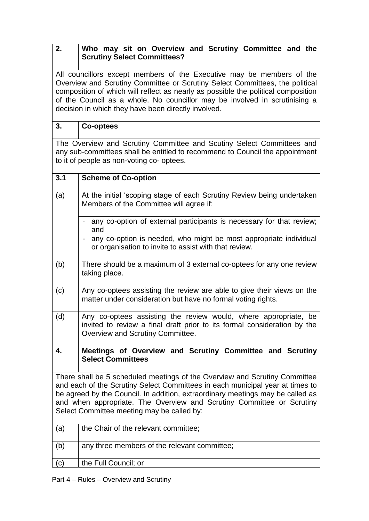## **2. Who may sit on Overview and Scrutiny Committee and the Scrutiny Select Committees?**

All councillors except members of the Executive may be members of the Overview and Scrutiny Committee or Scrutiny Select Committees, the political composition of which will reflect as nearly as possible the political composition of the Council as a whole. No councillor may be involved in scrutinising a decision in which they have been directly involved.

## **3. Co-optees**

The Overview and Scrutiny Committee and Scutiny Select Committees and any sub-committees shall be entitled to recommend to Council the appointment to it of people as non-voting co- optees.

| 3.1                                                                                                                                                                                                                                                                                                                                                                  | <b>Scheme of Co-option</b>                                                                                                                                                      |  |
|----------------------------------------------------------------------------------------------------------------------------------------------------------------------------------------------------------------------------------------------------------------------------------------------------------------------------------------------------------------------|---------------------------------------------------------------------------------------------------------------------------------------------------------------------------------|--|
| (a)                                                                                                                                                                                                                                                                                                                                                                  | At the initial 'scoping stage of each Scrutiny Review being undertaken<br>Members of the Committee will agree if:                                                               |  |
|                                                                                                                                                                                                                                                                                                                                                                      | - any co-option of external participants is necessary for that review;<br>and                                                                                                   |  |
|                                                                                                                                                                                                                                                                                                                                                                      | any co-option is needed, who might be most appropriate individual<br>or organisation to invite to assist with that review.                                                      |  |
| (b)                                                                                                                                                                                                                                                                                                                                                                  | There should be a maximum of 3 external co-optees for any one review<br>taking place.                                                                                           |  |
| (c)                                                                                                                                                                                                                                                                                                                                                                  | Any co-optees assisting the review are able to give their views on the<br>matter under consideration but have no formal voting rights.                                          |  |
| (d)                                                                                                                                                                                                                                                                                                                                                                  | Any co-optees assisting the review would, where appropriate, be<br>invited to review a final draft prior to its formal consideration by the<br>Overview and Scrutiny Committee. |  |
| 4.                                                                                                                                                                                                                                                                                                                                                                   | Meetings of Overview and Scrutiny Committee and Scrutiny<br><b>Select Committees</b>                                                                                            |  |
| There shall be 5 scheduled meetings of the Overview and Scrutiny Committee<br>and each of the Scrutiny Select Committees in each municipal year at times to<br>be agreed by the Council. In addition, extraordinary meetings may be called as<br>and when appropriate. The Overview and Scrutiny Committee or Scrutiny<br>Select Committee meeting may be called by: |                                                                                                                                                                                 |  |
| (a)                                                                                                                                                                                                                                                                                                                                                                  | the Chair of the relevant committee;                                                                                                                                            |  |
| (b)                                                                                                                                                                                                                                                                                                                                                                  | any three members of the relevant committee;                                                                                                                                    |  |
| (c)                                                                                                                                                                                                                                                                                                                                                                  | the Full Council; or                                                                                                                                                            |  |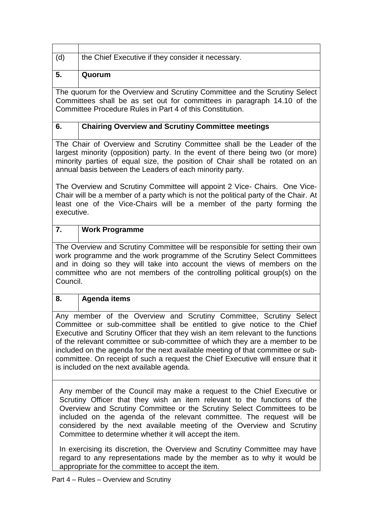| (d)                                                                                                                                                                                                                                                                                                                                                                                                                                                                                                                                 | the Chief Executive if they consider it necessary.                                                                                                                                                                                          |  |  |
|-------------------------------------------------------------------------------------------------------------------------------------------------------------------------------------------------------------------------------------------------------------------------------------------------------------------------------------------------------------------------------------------------------------------------------------------------------------------------------------------------------------------------------------|---------------------------------------------------------------------------------------------------------------------------------------------------------------------------------------------------------------------------------------------|--|--|
|                                                                                                                                                                                                                                                                                                                                                                                                                                                                                                                                     |                                                                                                                                                                                                                                             |  |  |
| 5.                                                                                                                                                                                                                                                                                                                                                                                                                                                                                                                                  | Quorum                                                                                                                                                                                                                                      |  |  |
|                                                                                                                                                                                                                                                                                                                                                                                                                                                                                                                                     | The quorum for the Overview and Scrutiny Committee and the Scrutiny Select<br>Committees shall be as set out for committees in paragraph 14.10 of the<br>Committee Procedure Rules in Part 4 of this Constitution.                          |  |  |
| 6.                                                                                                                                                                                                                                                                                                                                                                                                                                                                                                                                  | <b>Chairing Overview and Scrutiny Committee meetings</b>                                                                                                                                                                                    |  |  |
| The Chair of Overview and Scrutiny Committee shall be the Leader of the<br>largest minority (opposition) party. In the event of there being two (or more)<br>minority parties of equal size, the position of Chair shall be rotated on an<br>annual basis between the Leaders of each minority party.                                                                                                                                                                                                                               |                                                                                                                                                                                                                                             |  |  |
| executive.                                                                                                                                                                                                                                                                                                                                                                                                                                                                                                                          | The Overview and Scrutiny Committee will appoint 2 Vice- Chairs. One Vice-<br>Chair will be a member of a party which is not the political party of the Chair. At<br>least one of the Vice-Chairs will be a member of the party forming the |  |  |
| 7.                                                                                                                                                                                                                                                                                                                                                                                                                                                                                                                                  | <b>Work Programme</b>                                                                                                                                                                                                                       |  |  |
| The Overview and Scrutiny Committee will be responsible for setting their own<br>work programme and the work programme of the Scrutiny Select Committees<br>and in doing so they will take into account the views of members on the<br>committee who are not members of the controlling political group(s) on the<br>Council.                                                                                                                                                                                                       |                                                                                                                                                                                                                                             |  |  |
| 8.                                                                                                                                                                                                                                                                                                                                                                                                                                                                                                                                  | <b>Agenda items</b>                                                                                                                                                                                                                         |  |  |
| Any member of the Overview and Scrutiny Committee, Scrutiny Select<br>Committee or sub-committee shall be entitled to give notice to the Chief<br>Executive and Scrutiny Officer that they wish an item relevant to the functions<br>of the relevant committee or sub-committee of which they are a member to be<br>included on the agenda for the next available meeting of that committee or sub-<br>committee. On receipt of such a request the Chief Executive will ensure that it<br>is included on the next available agenda. |                                                                                                                                                                                                                                             |  |  |
| Any member of the Council may make a request to the Chief Executive or<br>Scrutiny Officer that they wish an item relevant to the functions of the<br>Overview and Scrutiny Committee or the Scrutiny Select Committees to be<br>included on the agenda of the relevant committee. The request will be<br>considered by the next available meeting of the Overview and Scrutiny<br>Committee to determine whether it will accept the item.<br>In exercising its discretion, the Overview and Scrutiny Committee may have            |                                                                                                                                                                                                                                             |  |  |
|                                                                                                                                                                                                                                                                                                                                                                                                                                                                                                                                     | regard to any representations made by the member as to why it would be<br>appropriate for the committee to accept the item.                                                                                                                 |  |  |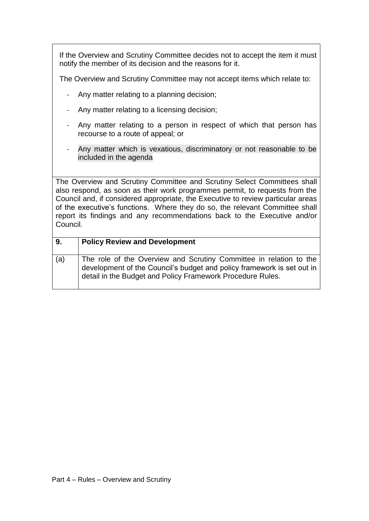If the Overview and Scrutiny Committee decides not to accept the item it must notify the member of its decision and the reasons for it.

The Overview and Scrutiny Committee may not accept items which relate to:

- Any matter relating to a planning decision;
- Any matter relating to a licensing decision;
- Any matter relating to a person in respect of which that person has recourse to a route of appeal; or
- Any matter which is vexatious, discriminatory or not reasonable to be included in the agenda

The Overview and Scrutiny Committee and Scrutiny Select Committees shall also respond, as soon as their work programmes permit, to requests from the Council and, if considered appropriate, the Executive to review particular areas of the executive's functions. Where they do so, the relevant Committee shall report its findings and any recommendations back to the Executive and/or Council.

| 9.  | <b>Policy Review and Development</b>                                                                                                                                                                       |
|-----|------------------------------------------------------------------------------------------------------------------------------------------------------------------------------------------------------------|
| (a) | The role of the Overview and Scrutiny Committee in relation to the<br>development of the Council's budget and policy framework is set out in<br>detail in the Budget and Policy Framework Procedure Rules. |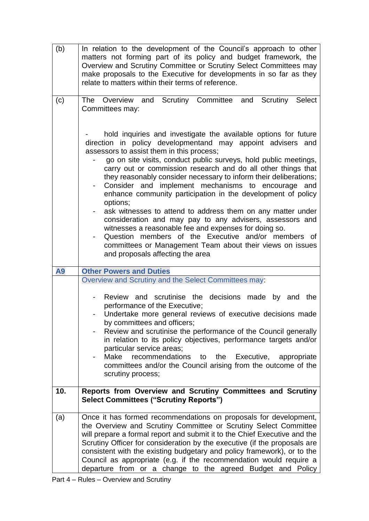| (b) | In relation to the development of the Council's approach to other<br>matters not forming part of its policy and budget framework, the<br>Overview and Scrutiny Committee or Scrutiny Select Committees may<br>make proposals to the Executive for developments in so far as they<br>relate to matters within their terms of reference.                                                                                                                                                                          |  |  |
|-----|-----------------------------------------------------------------------------------------------------------------------------------------------------------------------------------------------------------------------------------------------------------------------------------------------------------------------------------------------------------------------------------------------------------------------------------------------------------------------------------------------------------------|--|--|
| (c) | The Overview and Scrutiny Committee and Scrutiny Select<br>Committees may:<br>hold inquiries and investigate the available options for future                                                                                                                                                                                                                                                                                                                                                                   |  |  |
|     | direction in policy developmentand may appoint advisers and<br>assessors to assist them in this process;<br>go on site visits, conduct public surveys, hold public meetings,<br>carry out or commission research and do all other things that<br>they reasonably consider necessary to inform their deliberations;<br>Consider and implement mechanisms to encourage and<br>enhance community participation in the development of policy<br>options;                                                            |  |  |
|     | ask witnesses to attend to address them on any matter under<br>consideration and may pay to any advisers, assessors and<br>witnesses a reasonable fee and expenses for doing so.<br>Question members of the Executive and/or members of<br>$\overline{\phantom{a}}$<br>committees or Management Team about their views on issues<br>and proposals affecting the area                                                                                                                                            |  |  |
| A9  | <b>Other Powers and Duties</b><br>Overview and Scrutiny and the Select Committees may:                                                                                                                                                                                                                                                                                                                                                                                                                          |  |  |
|     | Review and scrutinise the decisions made by and the<br>performance of the Executive;<br>Undertake more general reviews of executive decisions made<br>by committees and officers;<br>Review and scrutinise the performance of the Council generally<br>in relation to its policy objectives, performance targets and/or<br>particular service areas;<br>Make recommendations<br>the<br>Executive,<br>to to<br>appropriate<br>committees and/or the Council arising from the outcome of the<br>scrutiny process; |  |  |
| 10. | Reports from Overview and Scrutiny Committees and Scrutiny<br><b>Select Committees ("Scrutiny Reports")</b>                                                                                                                                                                                                                                                                                                                                                                                                     |  |  |
| (a) | Once it has formed recommendations on proposals for development,<br>the Overview and Scrutiny Committee or Scrutiny Select Committee<br>will prepare a formal report and submit it to the Chief Executive and the<br>Scrutiny Officer for consideration by the executive (if the proposals are<br>consistent with the existing budgetary and policy framework), or to the<br>Council as appropriate (e.g. if the recommendation would require a<br>departure from or a change to the agreed Budget and Policy   |  |  |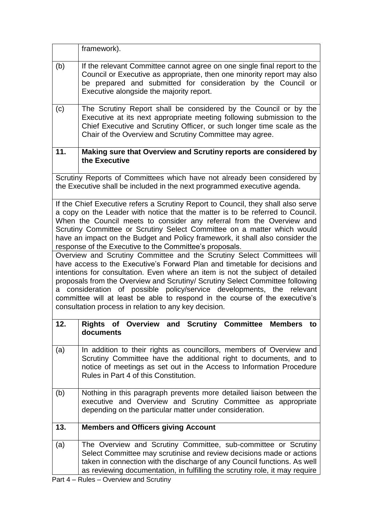|                                                                                                                                                                                                                                                                                                                                                                                                                                                                                                                                                                                                                                                                                                                                                                                                                                                                                                                                                                                                                         | framework).                                                                                                                                                                                                                                                                                       |  |
|-------------------------------------------------------------------------------------------------------------------------------------------------------------------------------------------------------------------------------------------------------------------------------------------------------------------------------------------------------------------------------------------------------------------------------------------------------------------------------------------------------------------------------------------------------------------------------------------------------------------------------------------------------------------------------------------------------------------------------------------------------------------------------------------------------------------------------------------------------------------------------------------------------------------------------------------------------------------------------------------------------------------------|---------------------------------------------------------------------------------------------------------------------------------------------------------------------------------------------------------------------------------------------------------------------------------------------------|--|
| (b)                                                                                                                                                                                                                                                                                                                                                                                                                                                                                                                                                                                                                                                                                                                                                                                                                                                                                                                                                                                                                     | If the relevant Committee cannot agree on one single final report to the<br>Council or Executive as appropriate, then one minority report may also<br>be prepared and submitted for consideration by the Council or<br>Executive alongside the majority report.                                   |  |
| (c)                                                                                                                                                                                                                                                                                                                                                                                                                                                                                                                                                                                                                                                                                                                                                                                                                                                                                                                                                                                                                     | The Scrutiny Report shall be considered by the Council or by the<br>Executive at its next appropriate meeting following submission to the<br>Chief Executive and Scrutiny Officer, or such longer time scale as the<br>Chair of the Overview and Scrutiny Committee may agree.                    |  |
| 11.                                                                                                                                                                                                                                                                                                                                                                                                                                                                                                                                                                                                                                                                                                                                                                                                                                                                                                                                                                                                                     | Making sure that Overview and Scrutiny reports are considered by<br>the Executive                                                                                                                                                                                                                 |  |
|                                                                                                                                                                                                                                                                                                                                                                                                                                                                                                                                                                                                                                                                                                                                                                                                                                                                                                                                                                                                                         | Scrutiny Reports of Committees which have not already been considered by<br>the Executive shall be included in the next programmed executive agenda.                                                                                                                                              |  |
| If the Chief Executive refers a Scrutiny Report to Council, they shall also serve<br>a copy on the Leader with notice that the matter is to be referred to Council.<br>When the Council meets to consider any referral from the Overview and<br>Scrutiny Committee or Scrutiny Select Committee on a matter which would<br>have an impact on the Budget and Policy framework, it shall also consider the<br>response of the Executive to the Committee's proposals.<br>Overview and Scrutiny Committee and the Scrutiny Select Committees will<br>have access to the Executive's Forward Plan and timetable for decisions and<br>intentions for consultation. Even where an item is not the subject of detailed<br>proposals from the Overview and Scrutiny/ Scrutiny Select Committee following<br>consideration of possible policy/service developments, the<br>relevant<br>a<br>committee will at least be able to respond in the course of the executive's<br>consultation process in relation to any key decision. |                                                                                                                                                                                                                                                                                                   |  |
| 12.                                                                                                                                                                                                                                                                                                                                                                                                                                                                                                                                                                                                                                                                                                                                                                                                                                                                                                                                                                                                                     | Rights of Overview and Scrutiny Committee Members to<br>documents                                                                                                                                                                                                                                 |  |
| (a)                                                                                                                                                                                                                                                                                                                                                                                                                                                                                                                                                                                                                                                                                                                                                                                                                                                                                                                                                                                                                     | In addition to their rights as councillors, members of Overview and<br>Scrutiny Committee have the additional right to documents, and to<br>notice of meetings as set out in the Access to Information Procedure<br>Rules in Part 4 of this Constitution.                                         |  |
| (b)                                                                                                                                                                                                                                                                                                                                                                                                                                                                                                                                                                                                                                                                                                                                                                                                                                                                                                                                                                                                                     | Nothing in this paragraph prevents more detailed liaison between the<br>executive and Overview and Scrutiny Committee as appropriate<br>depending on the particular matter under consideration.                                                                                                   |  |
| 13.                                                                                                                                                                                                                                                                                                                                                                                                                                                                                                                                                                                                                                                                                                                                                                                                                                                                                                                                                                                                                     | <b>Members and Officers giving Account</b>                                                                                                                                                                                                                                                        |  |
| (a)                                                                                                                                                                                                                                                                                                                                                                                                                                                                                                                                                                                                                                                                                                                                                                                                                                                                                                                                                                                                                     | The Overview and Scrutiny Committee, sub-committee or Scrutiny<br>Select Committee may scrutinise and review decisions made or actions<br>taken in connection with the discharge of any Council functions. As well<br>as reviewing documentation, in fulfilling the scrutiny role, it may require |  |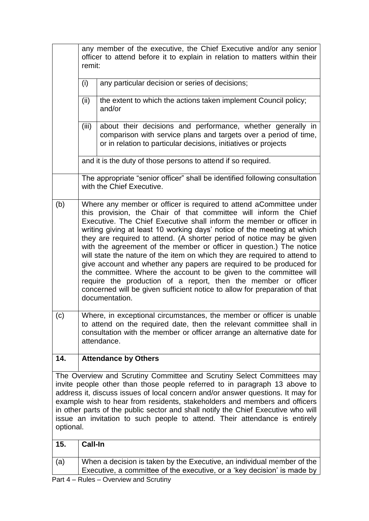|                                                                                                                                                                                                                                                                                                                                                                                                                                                                                                       | any member of the executive, the Chief Executive and/or any senior<br>officer to attend before it to explain in relation to matters within their<br>remit:                                                                                                                                                                                                                                                                                                                                                                                                                                                                                                                                                                                                                                                                              |                                                                                                                                                                                                    |  |  |
|-------------------------------------------------------------------------------------------------------------------------------------------------------------------------------------------------------------------------------------------------------------------------------------------------------------------------------------------------------------------------------------------------------------------------------------------------------------------------------------------------------|-----------------------------------------------------------------------------------------------------------------------------------------------------------------------------------------------------------------------------------------------------------------------------------------------------------------------------------------------------------------------------------------------------------------------------------------------------------------------------------------------------------------------------------------------------------------------------------------------------------------------------------------------------------------------------------------------------------------------------------------------------------------------------------------------------------------------------------------|----------------------------------------------------------------------------------------------------------------------------------------------------------------------------------------------------|--|--|
|                                                                                                                                                                                                                                                                                                                                                                                                                                                                                                       | (i)<br>any particular decision or series of decisions;                                                                                                                                                                                                                                                                                                                                                                                                                                                                                                                                                                                                                                                                                                                                                                                  |                                                                                                                                                                                                    |  |  |
|                                                                                                                                                                                                                                                                                                                                                                                                                                                                                                       | (ii)                                                                                                                                                                                                                                                                                                                                                                                                                                                                                                                                                                                                                                                                                                                                                                                                                                    | the extent to which the actions taken implement Council policy;<br>and/or                                                                                                                          |  |  |
|                                                                                                                                                                                                                                                                                                                                                                                                                                                                                                       | (iii)                                                                                                                                                                                                                                                                                                                                                                                                                                                                                                                                                                                                                                                                                                                                                                                                                                   | about their decisions and performance, whether generally in<br>comparison with service plans and targets over a period of time,<br>or in relation to particular decisions, initiatives or projects |  |  |
|                                                                                                                                                                                                                                                                                                                                                                                                                                                                                                       | and it is the duty of those persons to attend if so required.                                                                                                                                                                                                                                                                                                                                                                                                                                                                                                                                                                                                                                                                                                                                                                           |                                                                                                                                                                                                    |  |  |
|                                                                                                                                                                                                                                                                                                                                                                                                                                                                                                       | The appropriate "senior officer" shall be identified following consultation<br>with the Chief Executive.                                                                                                                                                                                                                                                                                                                                                                                                                                                                                                                                                                                                                                                                                                                                |                                                                                                                                                                                                    |  |  |
| (b)                                                                                                                                                                                                                                                                                                                                                                                                                                                                                                   | Where any member or officer is required to attend aCommittee under<br>this provision, the Chair of that committee will inform the Chief<br>Executive. The Chief Executive shall inform the member or officer in<br>writing giving at least 10 working days' notice of the meeting at which<br>they are required to attend. (A shorter period of notice may be given<br>with the agreement of the member or officer in question.) The notice<br>will state the nature of the item on which they are required to attend to<br>give account and whether any papers are required to be produced for<br>the committee. Where the account to be given to the committee will<br>require the production of a report, then the member or officer<br>concerned will be given sufficient notice to allow for preparation of that<br>documentation. |                                                                                                                                                                                                    |  |  |
| (c)                                                                                                                                                                                                                                                                                                                                                                                                                                                                                                   | Where, in exceptional circumstances, the member or officer is unable<br>to attend on the required date, then the relevant committee shall in<br>consultation with the member or officer arrange an alternative date for<br>attendance.                                                                                                                                                                                                                                                                                                                                                                                                                                                                                                                                                                                                  |                                                                                                                                                                                                    |  |  |
| 14.                                                                                                                                                                                                                                                                                                                                                                                                                                                                                                   | <b>Attendance by Others</b>                                                                                                                                                                                                                                                                                                                                                                                                                                                                                                                                                                                                                                                                                                                                                                                                             |                                                                                                                                                                                                    |  |  |
| The Overview and Scrutiny Committee and Scrutiny Select Committees may<br>invite people other than those people referred to in paragraph 13 above to<br>address it, discuss issues of local concern and/or answer questions. It may for<br>example wish to hear from residents, stakeholders and members and officers<br>in other parts of the public sector and shall notify the Chief Executive who will<br>issue an invitation to such people to attend. Their attendance is entirely<br>optional. |                                                                                                                                                                                                                                                                                                                                                                                                                                                                                                                                                                                                                                                                                                                                                                                                                                         |                                                                                                                                                                                                    |  |  |
| 15.                                                                                                                                                                                                                                                                                                                                                                                                                                                                                                   | Call-In                                                                                                                                                                                                                                                                                                                                                                                                                                                                                                                                                                                                                                                                                                                                                                                                                                 |                                                                                                                                                                                                    |  |  |
| (a)                                                                                                                                                                                                                                                                                                                                                                                                                                                                                                   |                                                                                                                                                                                                                                                                                                                                                                                                                                                                                                                                                                                                                                                                                                                                                                                                                                         | When a decision is taken by the Executive, an individual member of the<br>Executive, a committee of the executive, or a 'key decision' is made by                                                  |  |  |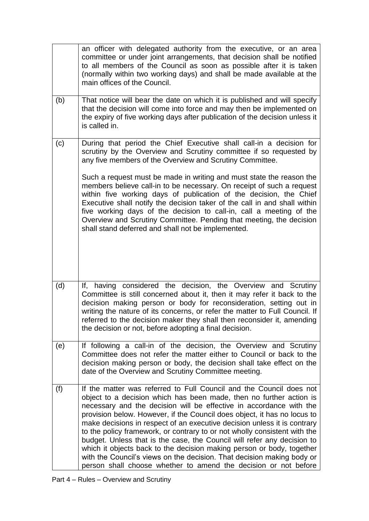|     | an officer with delegated authority from the executive, or an area<br>committee or under joint arrangements, that decision shall be notified<br>to all members of the Council as soon as possible after it is taken<br>(normally within two working days) and shall be made available at the<br>main offices of the Council.                                                                                                                                                                                                                                                                                                                                                                                                                            |
|-----|---------------------------------------------------------------------------------------------------------------------------------------------------------------------------------------------------------------------------------------------------------------------------------------------------------------------------------------------------------------------------------------------------------------------------------------------------------------------------------------------------------------------------------------------------------------------------------------------------------------------------------------------------------------------------------------------------------------------------------------------------------|
| (b) | That notice will bear the date on which it is published and will specify<br>that the decision will come into force and may then be implemented on<br>the expiry of five working days after publication of the decision unless it<br>is called in.                                                                                                                                                                                                                                                                                                                                                                                                                                                                                                       |
| (c) | During that period the Chief Executive shall call-in a decision for<br>scrutiny by the Overview and Scrutiny committee if so requested by<br>any five members of the Overview and Scrutiny Committee.                                                                                                                                                                                                                                                                                                                                                                                                                                                                                                                                                   |
|     | Such a request must be made in writing and must state the reason the<br>members believe call-in to be necessary. On receipt of such a request<br>within five working days of publication of the decision, the Chief<br>Executive shall notify the decision taker of the call in and shall within<br>five working days of the decision to call-in, call a meeting of the<br>Overview and Scrutiny Committee. Pending that meeting, the decision<br>shall stand deferred and shall not be implemented.                                                                                                                                                                                                                                                    |
| (d) | If, having considered the decision, the Overview and Scrutiny<br>Committee is still concerned about it, then it may refer it back to the<br>decision making person or body for reconsideration, setting out in<br>writing the nature of its concerns, or refer the matter to Full Council. If<br>referred to the decision maker they shall then reconsider it, amending<br>the decision or not, before adopting a final decision.                                                                                                                                                                                                                                                                                                                       |
| (e) | If following a call-in of the decision, the Overview and Scrutiny<br>Committee does not refer the matter either to Council or back to the<br>decision making person or body, the decision shall take effect on the<br>date of the Overview and Scrutiny Committee meeting.                                                                                                                                                                                                                                                                                                                                                                                                                                                                              |
| (f) | If the matter was referred to Full Council and the Council does not<br>object to a decision which has been made, then no further action is<br>necessary and the decision will be effective in accordance with the<br>provision below. However, if the Council does object, it has no locus to<br>make decisions in respect of an executive decision unless it is contrary<br>to the policy framework, or contrary to or not wholly consistent with the<br>budget. Unless that is the case, the Council will refer any decision to<br>which it objects back to the decision making person or body, together<br>with the Council's views on the decision. That decision making body or<br>person shall choose whether to amend the decision or not before |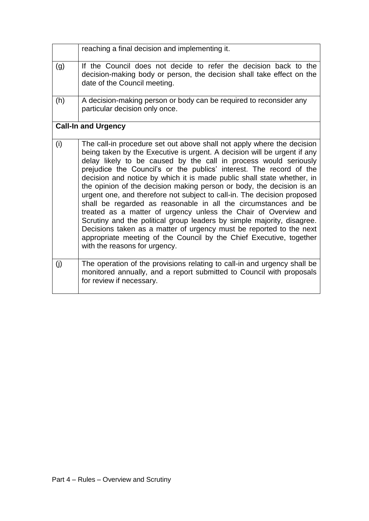|     | reaching a final decision and implementing it.                                                                                                                                                                                                                                                                                                                                                                                                                                                                                                                                                                                                                                                                                                                                                                                                                                                                             |
|-----|----------------------------------------------------------------------------------------------------------------------------------------------------------------------------------------------------------------------------------------------------------------------------------------------------------------------------------------------------------------------------------------------------------------------------------------------------------------------------------------------------------------------------------------------------------------------------------------------------------------------------------------------------------------------------------------------------------------------------------------------------------------------------------------------------------------------------------------------------------------------------------------------------------------------------|
| (g) | If the Council does not decide to refer the decision back to the<br>decision-making body or person, the decision shall take effect on the<br>date of the Council meeting.                                                                                                                                                                                                                                                                                                                                                                                                                                                                                                                                                                                                                                                                                                                                                  |
| (h) | A decision-making person or body can be required to reconsider any<br>particular decision only once.                                                                                                                                                                                                                                                                                                                                                                                                                                                                                                                                                                                                                                                                                                                                                                                                                       |
|     | <b>Call-In and Urgency</b>                                                                                                                                                                                                                                                                                                                                                                                                                                                                                                                                                                                                                                                                                                                                                                                                                                                                                                 |
| (i) | The call-in procedure set out above shall not apply where the decision<br>being taken by the Executive is urgent. A decision will be urgent if any<br>delay likely to be caused by the call in process would seriously<br>prejudice the Council's or the publics' interest. The record of the<br>decision and notice by which it is made public shall state whether, in<br>the opinion of the decision making person or body, the decision is an<br>urgent one, and therefore not subject to call-in. The decision proposed<br>shall be regarded as reasonable in all the circumstances and be<br>treated as a matter of urgency unless the Chair of Overview and<br>Scrutiny and the political group leaders by simple majority, disagree.<br>Decisions taken as a matter of urgency must be reported to the next<br>appropriate meeting of the Council by the Chief Executive, together<br>with the reasons for urgency. |
| (i) | The operation of the provisions relating to call-in and urgency shall be<br>monitored annually, and a report submitted to Council with proposals<br>for review if necessary.                                                                                                                                                                                                                                                                                                                                                                                                                                                                                                                                                                                                                                                                                                                                               |